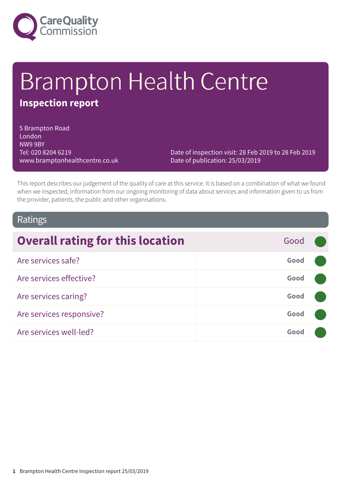

# Brampton Health Centre

# **Inspection report**

5 Brampton Road London NW9 9BY Tel: 020 8204 6219 www.bramptonhealthcentre.co.uk

Date of inspection visit: 28 Feb 2019 to 28 Feb 2019 Date of publication: 25/03/2019

This report describes our judgement of the quality of care at this service. It is based on a combination of what we found when we inspected, information from our ongoing monitoring of data about services and information given to us from the provider, patients, the public and other organisations.

# Ratings

| <b>Overall rating for this location</b> | Good |  |
|-----------------------------------------|------|--|
| Are services safe?                      | Good |  |
| Are services effective?                 | Good |  |
| Are services caring?                    | Good |  |
| Are services responsive?                | Good |  |
| Are services well-led?                  | Good |  |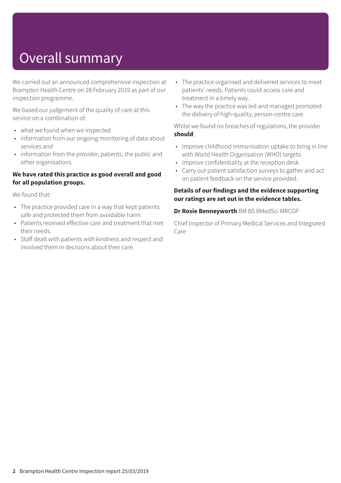# Overall summary

We carried out an announced comprehensive inspection at Brampton Health Centre on 28 February 2019 as part of our inspection programme.

We based our judgement of the quality of care at this service on a combination of:

- what we found when we inspected
- information from our ongoing monitoring of data about services and
- information from the provider, patients, the public and other organisations.

#### **We have rated this practice as good overall and good for all population groups.**

We found that:

- The practice provided care in a way that kept patients safe and protected them from avoidable harm.
- Patients received effective care and treatment that met their needs.
- Staff dealt with patients with kindness and respect and involved them in decisions about their care.
- The practice organised and delivered services to meet patients' needs. Patients could access care and treatment in a timely way.
- The way the practice was led and managed promoted the delivery of high-quality, person-centre care.

Whilst we found no breaches of regulations, the provider **should**:

- Improve childhood immunisation uptake to bring in line with World Health Organisation (WHO) targets.
- Improve confidentiality at the reception desk.
- Carry out patient satisfaction surveys to gather and act on patient feedback on the service provided.

#### **Details of our findings and the evidence supporting our ratings are set out in the evidence tables.**

#### **Dr Rosie Benneyworth** BM BS BMedSci MRCGP

Chief Inspector of Primary Medical Services and Integrated Care